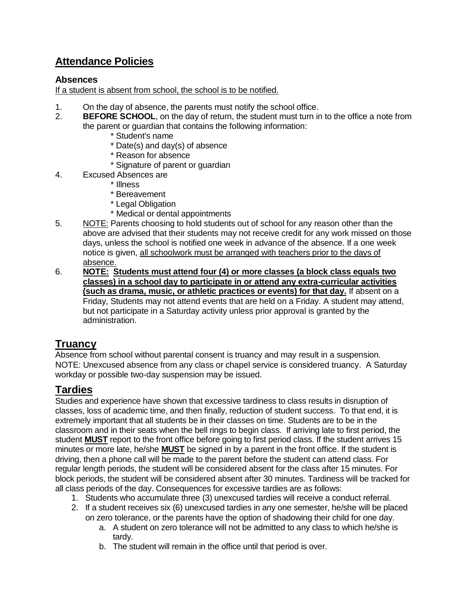# **Attendance Policies**

#### **Absences**

If a student is absent from school, the school is to be notified.

- 1. On the day of absence, the parents must notify the school office.
- 2. **BEFORE SCHOOL**, on the day of return, the student must turn in to the office a note from the parent or guardian that contains the following information:
	- \* Student's name
	- \* Date(s) and day(s) of absence
	- \* Reason for absence
	- \* Signature of parent or guardian
- 4. Excused Absences are
	- \* Illness
	- \* Bereavement
	- \* Legal Obligation
	- \* Medical or dental appointments
- 5. NOTE: Parents choosing to hold students out of school for any reason other than the above are advised that their students may not receive credit for any work missed on those days, unless the school is notified one week in advance of the absence. If a one week notice is given, all schoolwork must be arranged with teachers prior to the days of absence.
- 6. **NOTE: Students must attend four (4) or more classes (a block class equals two classes) in a school day to participate in or attend any extra-curricular activities (such as drama, music, or athletic practices or events) for that day.** If absent on a Friday, Students may not attend events that are held on a Friday. A student may attend, but not participate in a Saturday activity unless prior approval is granted by the administration.

# **Truancy**

Absence from school without parental consent is truancy and may result in a suspension. NOTE: Unexcused absence from any class or chapel service is considered truancy. A Saturday workday or possible two-day suspension may be issued.

# **Tardies**

Studies and experience have shown that excessive tardiness to class results in disruption of classes, loss of academic time, and then finally, reduction of student success. To that end, it is extremely important that all students be in their classes on time. Students are to be in the classroom and in their seats when the bell rings to begin class. If arriving late to first period, the student **MUST** report to the front office before going to first period class. If the student arrives 15 minutes or more late, he/she **MUST** be signed in by a parent in the front office. If the student is driving, then a phone call will be made to the parent before the student can attend class. For regular length periods, the student will be considered absent for the class after 15 minutes. For block periods, the student will be considered absent after 30 minutes. Tardiness will be tracked for all class periods of the day. Consequences for excessive tardies are as follows:

- 1. Students who accumulate three (3) unexcused tardies will receive a conduct referral.
- 2. If a student receives six (6) unexcused tardies in any one semester, he/she will be placed on zero tolerance, or the parents have the option of shadowing their child for one day.
	- a. A student on zero tolerance will not be admitted to any class to which he/she is tardy.
	- b. The student will remain in the office until that period is over.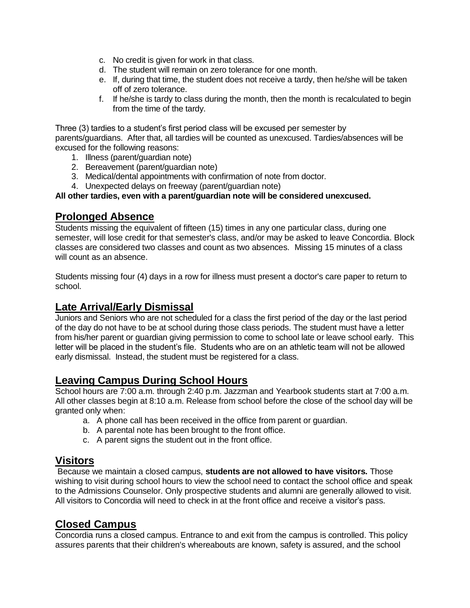- c. No credit is given for work in that class.
- d. The student will remain on zero tolerance for one month.
- e. If, during that time, the student does not receive a tardy, then he/she will be taken off of zero tolerance.
- f. If he/she is tardy to class during the month, then the month is recalculated to begin from the time of the tardy.

Three (3) tardies to a student's first period class will be excused per semester by parents/guardians. After that, all tardies will be counted as unexcused. Tardies/absences will be excused for the following reasons:

- 1. Illness (parent/guardian note)
- 2. Bereavement (parent/guardian note)
- 3. Medical/dental appointments with confirmation of note from doctor.
- 4. Unexpected delays on freeway (parent/guardian note)

#### **All other tardies, even with a parent/guardian note will be considered unexcused.**

#### **Prolonged Absence**

Students missing the equivalent of fifteen (15) times in any one particular class, during one semester, will lose credit for that semester's class, and/or may be asked to leave Concordia. Block classes are considered two classes and count as two absences. Missing 15 minutes of a class will count as an absence.

Students missing four (4) days in a row for illness must present a doctor's care paper to return to school.

## **Late Arrival/Early Dismissal**

Juniors and Seniors who are not scheduled for a class the first period of the day or the last period of the day do not have to be at school during those class periods. The student must have a letter from his/her parent or guardian giving permission to come to school late or leave school early. This letter will be placed in the student's file. Students who are on an athletic team will not be allowed early dismissal. Instead, the student must be registered for a class.

## **Leaving Campus During School Hours**

School hours are 7:00 a.m. through 2:40 p.m. Jazzman and Yearbook students start at 7:00 a.m. All other classes begin at 8:10 a.m. Release from school before the close of the school day will be granted only when:

- a. A phone call has been received in the office from parent or guardian.
- b. A parental note has been brought to the front office.
- c. A parent signs the student out in the front office.

## **Visitors**

Because we maintain a closed campus, **students are not allowed to have visitors.** Those wishing to visit during school hours to view the school need to contact the school office and speak to the Admissions Counselor. Only prospective students and alumni are generally allowed to visit. All visitors to Concordia will need to check in at the front office and receive a visitor's pass.

## **Closed Campus**

Concordia runs a closed campus. Entrance to and exit from the campus is controlled. This policy assures parents that their children's whereabouts are known, safety is assured, and the school